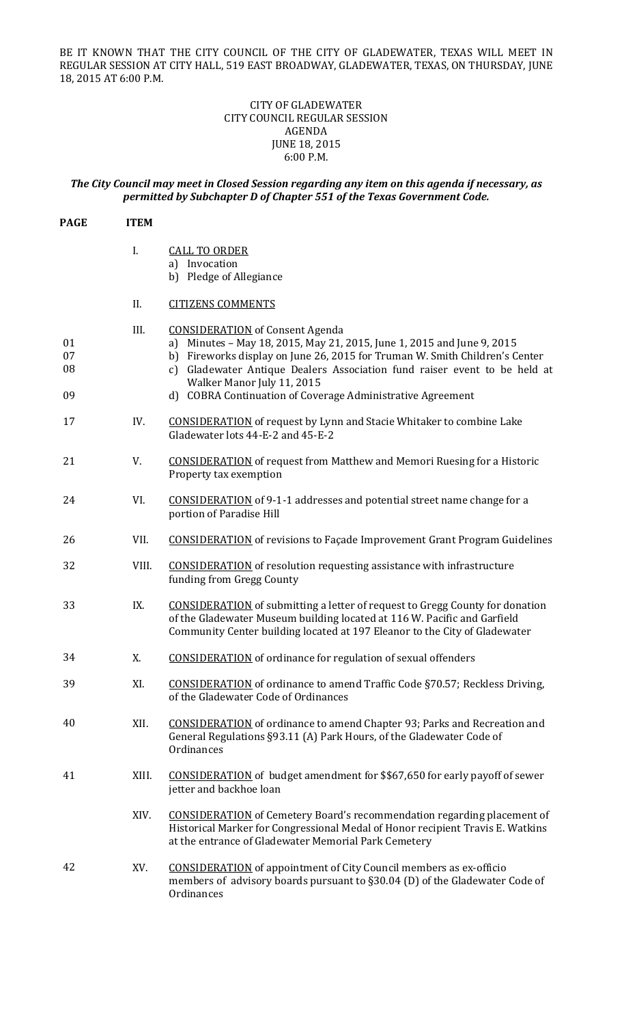BE IT KNOWN THAT THE CITY COUNCIL OF THE CITY OF GLADEWATER, TEXAS WILL MEET IN REGULAR SESSION AT CITY HALL, 519 EAST BROADWAY, GLADEWATER, TEXAS, ON THURSDAY, JUNE 18, 2015 AT 6:00 P.M.

## CITY OF GLADEWATER CITY COUNCIL REGULAR SESSION AGENDA JUNE 18, 2015 6:00 P.M.

# *The City Council may meet in Closed Session regarding any item on this agenda if necessary, as permitted by Subchapter D of Chapter 551 of the Texas Government Code.*

| <b>PAGE</b>          | <b>ITEM</b> |                                                                                                                                                                                                                                                                                                                                                                             |
|----------------------|-------------|-----------------------------------------------------------------------------------------------------------------------------------------------------------------------------------------------------------------------------------------------------------------------------------------------------------------------------------------------------------------------------|
|                      | I.          | <b>CALL TO ORDER</b><br>a) Invocation<br>b) Pledge of Allegiance                                                                                                                                                                                                                                                                                                            |
|                      | II.         | <b>CITIZENS COMMENTS</b>                                                                                                                                                                                                                                                                                                                                                    |
| 01<br>07<br>08<br>09 | III.        | <b>CONSIDERATION</b> of Consent Agenda<br>a) Minutes - May 18, 2015, May 21, 2015, June 1, 2015 and June 9, 2015<br>b) Fireworks display on June 26, 2015 for Truman W. Smith Children's Center<br>Gladewater Antique Dealers Association fund raiser event to be held at<br>c)<br>Walker Manor July 11, 2015<br>d) COBRA Continuation of Coverage Administrative Agreement |
| 17                   | IV.         | <b>CONSIDERATION</b> of request by Lynn and Stacie Whitaker to combine Lake<br>Gladewater lots 44-E-2 and 45-E-2                                                                                                                                                                                                                                                            |
| 21                   | V.          | <b>CONSIDERATION</b> of request from Matthew and Memori Ruesing for a Historic<br>Property tax exemption                                                                                                                                                                                                                                                                    |
| 24                   | VI.         | <b>CONSIDERATION</b> of 9-1-1 addresses and potential street name change for a<br>portion of Paradise Hill                                                                                                                                                                                                                                                                  |
| 26                   | VII.        | <b>CONSIDERATION</b> of revisions to Façade Improvement Grant Program Guidelines                                                                                                                                                                                                                                                                                            |
| 32                   | VIII.       | <b>CONSIDERATION</b> of resolution requesting assistance with infrastructure<br>funding from Gregg County                                                                                                                                                                                                                                                                   |
| 33                   | IX.         | <b>CONSIDERATION</b> of submitting a letter of request to Gregg County for donation<br>of the Gladewater Museum building located at 116 W. Pacific and Garfield<br>Community Center building located at 197 Eleanor to the City of Gladewater                                                                                                                               |
| 34                   | X.          | <b>CONSIDERATION</b> of ordinance for regulation of sexual offenders                                                                                                                                                                                                                                                                                                        |
| 39                   | XI.         | <b>CONSIDERATION</b> of ordinance to amend Traffic Code §70.57; Reckless Driving,<br>of the Gladewater Code of Ordinances                                                                                                                                                                                                                                                   |
| 40                   | XII.        | <b>CONSIDERATION</b> of ordinance to amend Chapter 93; Parks and Recreation and<br>General Regulations §93.11 (A) Park Hours, of the Gladewater Code of<br>Ordinances                                                                                                                                                                                                       |
| 41                   | XIII.       | CONSIDERATION of budget amendment for \$\$67,650 for early payoff of sewer<br>jetter and backhoe loan                                                                                                                                                                                                                                                                       |
|                      | XIV.        | <b>CONSIDERATION</b> of Cemetery Board's recommendation regarding placement of<br>Historical Marker for Congressional Medal of Honor recipient Travis E. Watkins<br>at the entrance of Gladewater Memorial Park Cemetery                                                                                                                                                    |
| 42                   | XV.         | <b>CONSIDERATION</b> of appointment of City Council members as ex-officio<br>members of advisory boards pursuant to §30.04 (D) of the Gladewater Code of<br>Ordinances                                                                                                                                                                                                      |